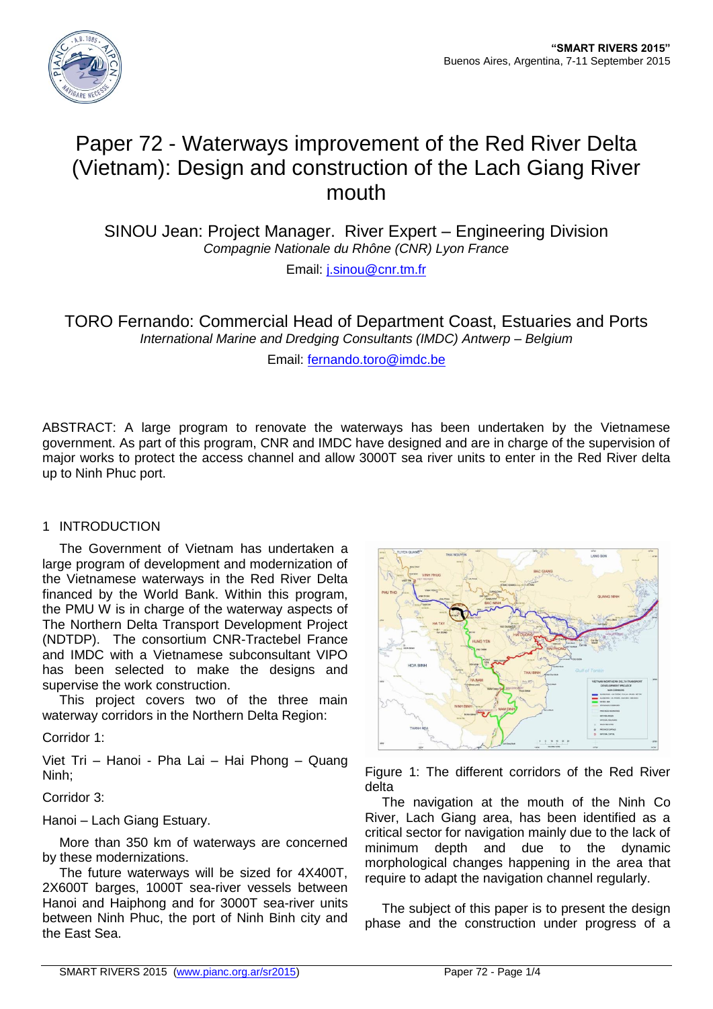

# Paper 72 - Waterways improvement of the Red River Delta (Vietnam): Design and construction of the Lach Giang River mouth

SINOU Jean: Project Manager. River Expert – Engineering Division *Compagnie Nationale du Rhône (CNR) Lyon France*

Email: [j.sinou@cnr.tm.fr](mailto:j.sinou@cnr.tm.fr)

TORO Fernando: Commercial Head of Department Coast, Estuaries and Ports *International Marine and Dredging Consultants (IMDC) Antwerp – Belgium*

Email: [fernando.toro@imdc.be](mailto:fernando.toro@imdc.be)

ABSTRACT: A large program to renovate the waterways has been undertaken by the Vietnamese government. As part of this program, CNR and IMDC have designed and are in charge of the supervision of major works to protect the access channel and allow 3000T sea river units to enter in the Red River delta up to Ninh Phuc port.

# 1 INTRODUCTION

The Government of Vietnam has undertaken a large program of development and modernization of the Vietnamese waterways in the Red River Delta financed by the World Bank. Within this program, the PMU W is in charge of the waterway aspects of The Northern Delta Transport Development Project (NDTDP). The consortium CNR-Tractebel France and IMDC with a Vietnamese subconsultant VIPO has been selected to make the designs and supervise the work construction.

This project covers two of the three main waterway corridors in the Northern Delta Region:

Corridor 1:

Viet Tri – Hanoi - Pha Lai – Hai Phong – Quang Ninh;

Corridor 3:

Hanoi – Lach Giang Estuary.

More than 350 km of waterways are concerned by these modernizations.

The future waterways will be sized for 4X400T, 2X600T barges, 1000T sea-river vessels between Hanoi and Haiphong and for 3000T sea-river units between Ninh Phuc, the port of Ninh Binh city and the East Sea.



Figure 1: The different corridors of the Red River delta

The navigation at the mouth of the Ninh Co River, Lach Giang area, has been identified as a critical sector for navigation mainly due to the lack of minimum depth and due to the dynamic morphological changes happening in the area that require to adapt the navigation channel regularly.

The subject of this paper is to present the design phase and the construction under progress of a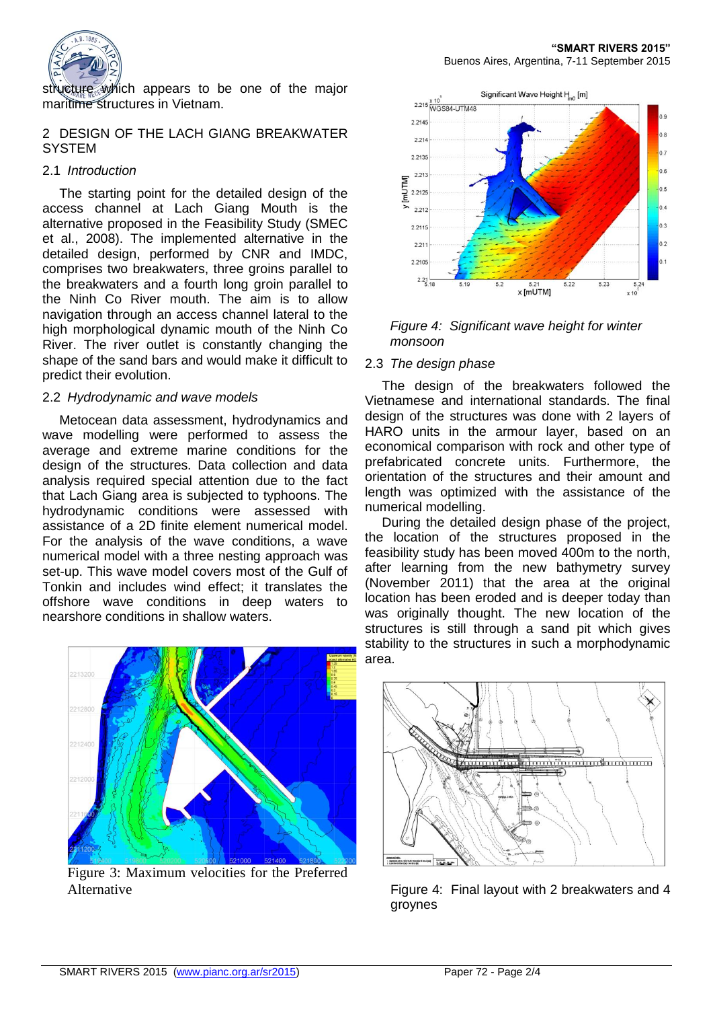

structure which appears to be one of the major maritime structures in Vietnam.

## 2 DESIGN OF THE LACH GIANG BREAKWATER **SYSTEM**

# 2.1 *Introduction*

The starting point for the detailed design of the access channel at Lach Giang Mouth is the alternative proposed in the Feasibility Study (SMEC et al., 2008). The implemented alternative in the detailed design, performed by CNR and IMDC, comprises two breakwaters, three groins parallel to the breakwaters and a fourth long groin parallel to the Ninh Co River mouth. The aim is to allow navigation through an access channel lateral to the high morphological dynamic mouth of the Ninh Co River. The river outlet is constantly changing the shape of the sand bars and would make it difficult to predict their evolution.

## 2.2 *Hydrodynamic and wave models*

Metocean data assessment, hydrodynamics and wave modelling were performed to assess the average and extreme marine conditions for the design of the structures. Data collection and data analysis required special attention due to the fact that Lach Giang area is subjected to typhoons. The hydrodynamic conditions were assessed with assistance of a 2D finite element numerical model. For the analysis of the wave conditions, a wave numerical model with a three nesting approach was set-up. This wave model covers most of the Gulf of Tonkin and includes wind effect; it translates the offshore wave conditions in deep waters to nearshore conditions in shallow waters.



Figure 3: Maximum velocities for the Preferred Alternative



## *Figure 4: Significant wave height for winter monsoon*

# 2.3 *The design phase*

The design of the breakwaters followed the Vietnamese and international standards. The final design of the structures was done with 2 layers of HARO units in the armour layer, based on an economical comparison with rock and other type of prefabricated concrete units. Furthermore, the orientation of the structures and their amount and length was optimized with the assistance of the numerical modelling.

During the detailed design phase of the project, the location of the structures proposed in the feasibility study has been moved 400m to the north, after learning from the new bathymetry survey (November 2011) that the area at the original location has been eroded and is deeper today than was originally thought. The new location of the structures is still through a sand pit which gives stability to the structures in such a morphodynamic area.



Figure 4: Final layout with 2 breakwaters and 4 groynes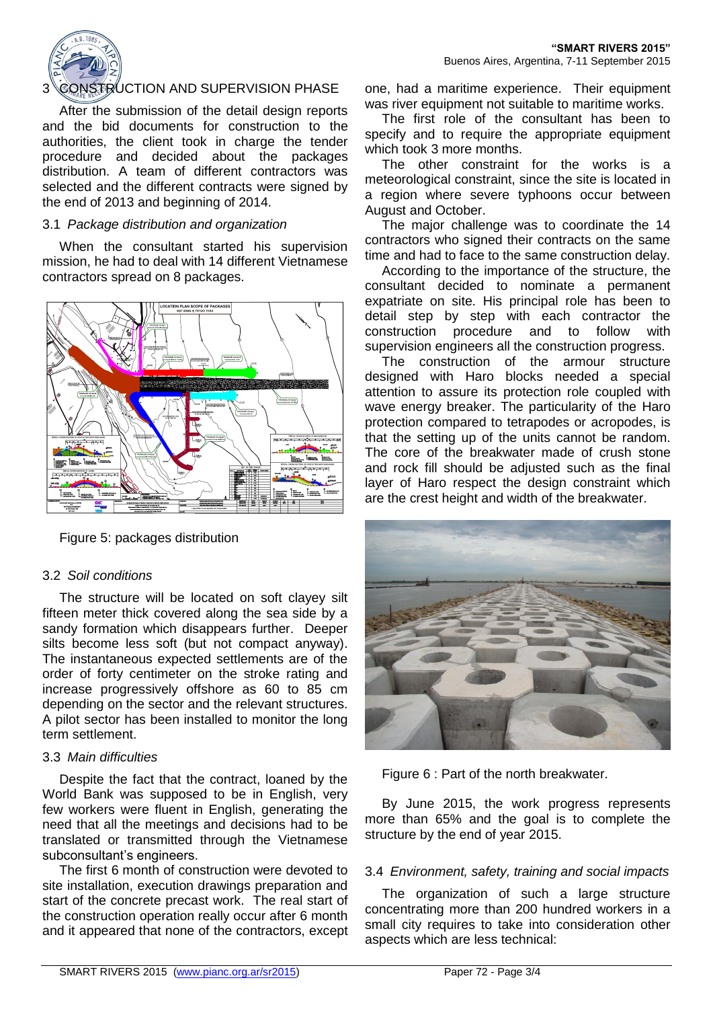

# 3 CONSTRUCTION AND SUPERVISION PHASE

After the submission of the detail design reports and the bid documents for construction to the authorities, the client took in charge the tender procedure and decided about the packages distribution. A team of different contractors was selected and the different contracts were signed by the end of 2013 and beginning of 2014.

#### 3.1 *Package distribution and organization*

When the consultant started his supervision mission, he had to deal with 14 different Vietnamese contractors spread on 8 packages.



Figure 5: packages distribution

#### 3.2 *Soil conditions*

The structure will be located on soft clayey silt fifteen meter thick covered along the sea side by a sandy formation which disappears further. Deeper silts become less soft (but not compact anyway). The instantaneous expected settlements are of the order of forty centimeter on the stroke rating and increase progressively offshore as 60 to 85 cm depending on the sector and the relevant structures. A pilot sector has been installed to monitor the long term settlement.

#### 3.3 *Main difficulties*

Despite the fact that the contract, loaned by the World Bank was supposed to be in English, very few workers were fluent in English, generating the need that all the meetings and decisions had to be translated or transmitted through the Vietnamese subconsultant's engineers.

The first 6 month of construction were devoted to site installation, execution drawings preparation and start of the concrete precast work. The real start of the construction operation really occur after 6 month and it appeared that none of the contractors, except one, had a maritime experience. Their equipment was river equipment not suitable to maritime works.

The first role of the consultant has been to specify and to require the appropriate equipment which took 3 more months.

The other constraint for the works is a meteorological constraint, since the site is located in a region where severe typhoons occur between August and October.

The major challenge was to coordinate the 14 contractors who signed their contracts on the same time and had to face to the same construction delay.

According to the importance of the structure, the consultant decided to nominate a permanent expatriate on site. His principal role has been to detail step by step with each contractor the construction procedure and to follow with supervision engineers all the construction progress.

The construction of the armour structure designed with Haro blocks needed a special attention to assure its protection role coupled with wave energy breaker. The particularity of the Haro protection compared to tetrapodes or acropodes, is that the setting up of the units cannot be random. The core of the breakwater made of crush stone and rock fill should be adjusted such as the final layer of Haro respect the design constraint which are the crest height and width of the breakwater.



Figure 6 : Part of the north breakwater.

By June 2015, the work progress represents more than 65% and the goal is to complete the structure by the end of year 2015.

#### 3.4 *Environment, safety, training and social impacts*

The organization of such a large structure concentrating more than 200 hundred workers in a small city requires to take into consideration other aspects which are less technical: